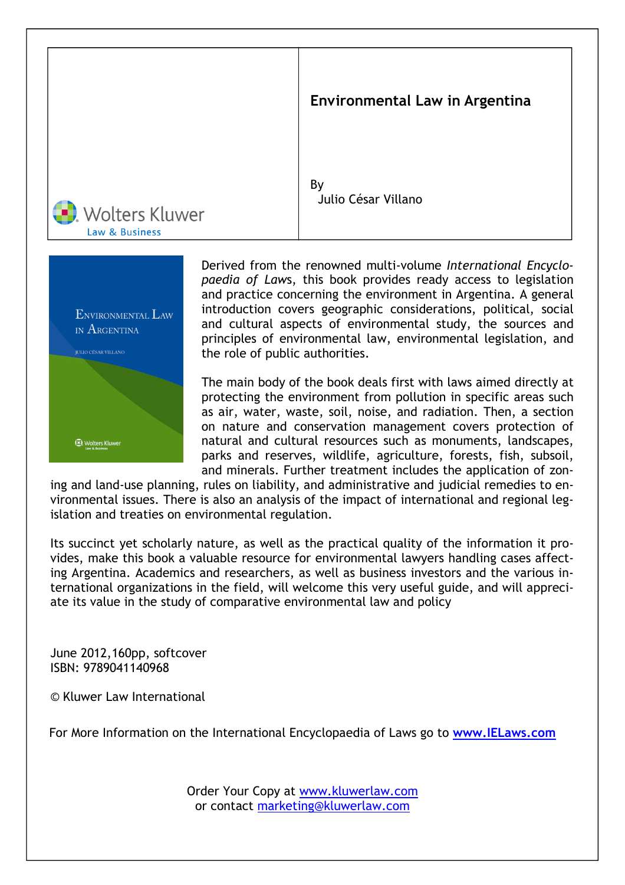



Derived from the renowned multi-volume International Encyclopaedia of Laws, this book provides ready access to legislation and practice concerning the environment in Argentina. A general introduction covers geographic considerations, political, social and cultural aspects of environmental study, the sources and principles of environmental law, environmental legislation, and the role of public authorities.

The main body of the book deals first with laws aimed directly at protecting the environment from pollution in specific areas such as air, water, waste, soil, noise, and radiation. Then, a section on nature and conservation management covers protection of natural and cultural resources such as monuments, landscapes, parks and reserves, wildlife, agriculture, forests, fish, subsoil, and minerals. Further treatment includes the application of zon-

ing and land-use planning, rules on liability, and administrative and judicial remedies to environmental issues. There is also an analysis of the impact of international and regional legislation and treaties on environmental regulation.

Its succinct yet scholarly nature, as well as the practical quality of the information it provides, make this book a valuable resource for environmental lawyers handling cases affecting Argentina. Academics and researchers, as well as business investors and the various international organizations in the field, will welcome this very useful guide, and will appreciate its value in the study of comparative environmental law and policy

June 2012,160pp, softcover ISBN: 9789041140968

© Kluwer Law International

For More Information on the International Encyclopaedia of Laws go to www.IELaws.com

Order Your Copy at www.kluwerlaw.com or contact marketing@kluwerlaw.com